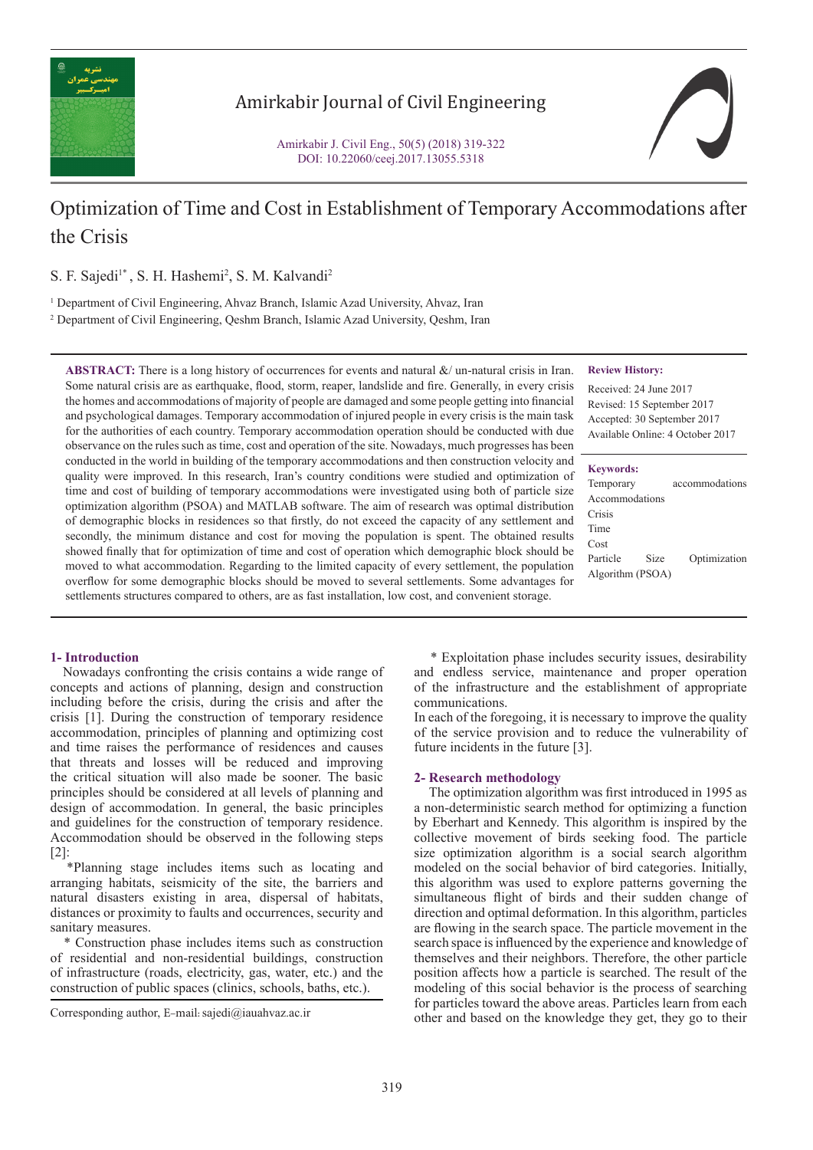

## Amirkabir Journal of Civil Engineering

Amirkabir J. Civil Eng., 50(5) (2018) 319-322 DOI: 10.22060/ceej.2017.13055.5318



# Optimization of Time and Cost in Establishment of Temporary Accommodations after the Crisis

S. F. Sajedi<sup>1\*</sup>, S. H. Hashemi<sup>2</sup>, S. M. Kalvandi<sup>2</sup>

<sup>1</sup> Department of Civil Engineering, Ahvaz Branch, Islamic Azad University, Ahvaz, Iran

2 Department of Civil Engineering, Qeshm Branch, Islamic Azad University, Qeshm, Iran

**ABSTRACT:** There is a long history of occurrences for events and natural &/ un-natural crisis in Iran. Some natural crisis are as earthquake, flood, storm, reaper, landslide and fire. Generally, in every crisis the homes and accommodations of majority of people are damaged and some people getting into financial and psychological damages. Temporary accommodation of injured people in every crisis is the main task for the authorities of each country. Temporary accommodation operation should be conducted with due observance on the rules such as time, cost and operation of the site. Nowadays, much progresses has been conducted in the world in building of the temporary accommodations and then construction velocity and quality were improved. In this research, Iran's country conditions were studied and optimization of time and cost of building of temporary accommodations were investigated using both of particle size optimization algorithm (PSOA) and MATLAB software. The aim of research was optimal distribution of demographic blocks in residences so that firstly, do not exceed the capacity of any settlement and secondly, the minimum distance and cost for moving the population is spent. The obtained results showed finally that for optimization of time and cost of operation which demographic block should be moved to what accommodation. Regarding to the limited capacity of every settlement, the population overflow for some demographic blocks should be moved to several settlements. Some advantages for settlements structures compared to others, are as fast installation, low cost, and convenient storage.

#### **Review History:**

Received: 24 June 2017 Revised: 15 September 2017 Accepted: 30 September 2017 Available Online: 4 October 2017

#### **Keywords:**

| Temporary        |      | accommodations |
|------------------|------|----------------|
| Accommodations   |      |                |
| Crisis           |      |                |
| Time             |      |                |
| Cost             |      |                |
| Particle         | Size | Optimization   |
| Algorithm (PSOA) |      |                |

## **1- Introduction**

 Nowadays confronting the crisis contains a wide range of concepts and actions of planning, design and construction including before the crisis, during the crisis and after the crisis [1]. During the construction of temporary residence accommodation, principles of planning and optimizing cost and time raises the performance of residences and causes that threats and losses will be reduced and improving the critical situation will also made be sooner. The basic principles should be considered at all levels of planning and design of accommodation. In general, the basic principles and guidelines for the construction of temporary residence. Accommodation should be observed in the following steps [2]:

 \*Planning stage includes items such as locating and arranging habitats, seismicity of the site, the barriers and natural disasters existing in area, dispersal of habitats, distances or proximity to faults and occurrences, security and sanitary measures.

 \* Construction phase includes items such as construction of residential and non-residential buildings, construction of infrastructure (roads, electricity, gas, water, etc.) and the construction of public spaces (clinics, schools, baths, etc.).

 \* Exploitation phase includes security issues, desirability and endless service, maintenance and proper operation of the infrastructure and the establishment of appropriate communications.

In each of the foregoing, it is necessary to improve the quality of the service provision and to reduce the vulnerability of future incidents in the future [3].

## **2- Research methodology**

 The optimization algorithm was first introduced in 1995 as a non-deterministic search method for optimizing a function by Eberhart and Kennedy. This algorithm is inspired by the collective movement of birds seeking food. The particle size optimization algorithm is a social search algorithm modeled on the social behavior of bird categories. Initially, this algorithm was used to explore patterns governing the simultaneous flight of birds and their sudden change of direction and optimal deformation. In this algorithm, particles are flowing in the search space. The particle movement in the search space is influenced by the experience and knowledge of themselves and their neighbors. Therefore, the other particle position affects how a particle is searched. The result of the modeling of this social behavior is the process of searching for particles toward the above areas. Particles learn from each other and based on the knowledge they get, they go to their Corresponding author, E-mail: sajedi@iauahvaz.ac.ir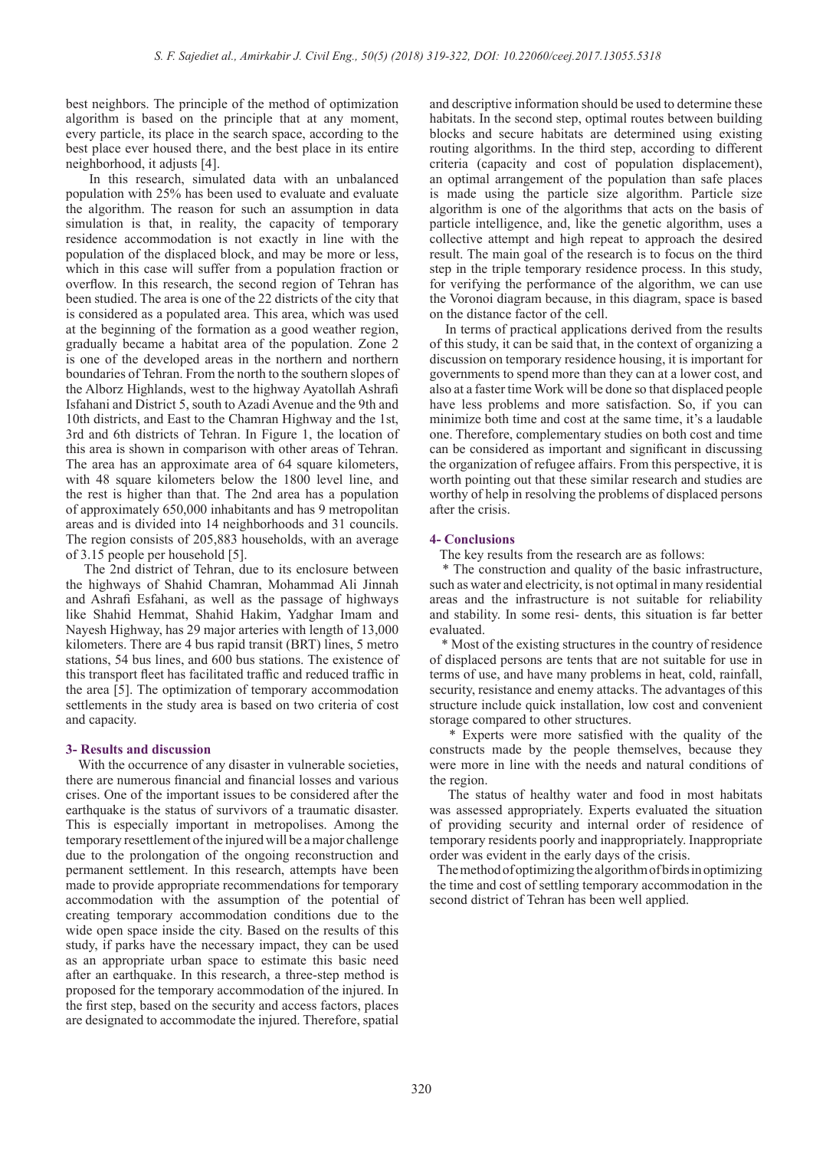best neighbors. The principle of the method of optimization algorithm is based on the principle that at any moment, every particle, its place in the search space, according to the best place ever housed there, and the best place in its entire neighborhood, it adjusts [4].

 In this research, simulated data with an unbalanced population with 25% has been used to evaluate and evaluate the algorithm. The reason for such an assumption in data simulation is that, in reality, the capacity of temporary residence accommodation is not exactly in line with the population of the displaced block, and may be more or less, which in this case will suffer from a population fraction or overflow. In this research, the second region of Tehran has been studied. The area is one of the 22 districts of the city that is considered as a populated area. This area, which was used at the beginning of the formation as a good weather region, gradually became a habitat area of the population. Zone 2 is one of the developed areas in the northern and northern boundaries of Tehran. From the north to the southern slopes of the Alborz Highlands, west to the highway Ayatollah Ashrafi Isfahani and District 5, south to Azadi Avenue and the 9th and 10th districts, and East to the Chamran Highway and the 1st, 3rd and 6th districts of Tehran. In Figure 1, the location of this area is shown in comparison with other areas of Tehran. The area has an approximate area of 64 square kilometers, with 48 square kilometers below the 1800 level line, and the rest is higher than that. The 2nd area has a population of approximately 650,000 inhabitants and has 9 metropolitan areas and is divided into 14 neighborhoods and 31 councils. The region consists of 205,883 households, with an average of 3.15 people per household [5].

 The 2nd district of Tehran, due to its enclosure between the highways of Shahid Chamran, Mohammad Ali Jinnah and Ashrafi Esfahani, as well as the passage of highways like Shahid Hemmat, Shahid Hakim, Yadghar Imam and Nayesh Highway, has 29 major arteries with length of 13,000 kilometers. There are 4 bus rapid transit (BRT) lines, 5 metro stations, 54 bus lines, and 600 bus stations. The existence of this transport fleet has facilitated traffic and reduced traffic in the area [5]. The optimization of temporary accommodation settlements in the study area is based on two criteria of cost and capacity.

#### **3- Results and discussion**

With the occurrence of any disaster in vulnerable societies, there are numerous financial and financial losses and various crises. One of the important issues to be considered after the earthquake is the status of survivors of a traumatic disaster. This is especially important in metropolises. Among the temporary resettlement of the injured will be a major challenge due to the prolongation of the ongoing reconstruction and permanent settlement. In this research, attempts have been made to provide appropriate recommendations for temporary accommodation with the assumption of the potential of creating temporary accommodation conditions due to the wide open space inside the city. Based on the results of this study, if parks have the necessary impact, they can be used as an appropriate urban space to estimate this basic need after an earthquake. In this research, a three-step method is proposed for the temporary accommodation of the injured. In the first step, based on the security and access factors, places are designated to accommodate the injured. Therefore, spatial and descriptive information should be used to determine these habitats. In the second step, optimal routes between building blocks and secure habitats are determined using existing routing algorithms. In the third step, according to different criteria (capacity and cost of population displacement), an optimal arrangement of the population than safe places is made using the particle size algorithm. Particle size algorithm is one of the algorithms that acts on the basis of particle intelligence, and, like the genetic algorithm, uses a collective attempt and high repeat to approach the desired result. The main goal of the research is to focus on the third step in the triple temporary residence process. In this study, for verifying the performance of the algorithm, we can use the Voronoi diagram because, in this diagram, space is based on the distance factor of the cell.

 In terms of practical applications derived from the results of this study, it can be said that, in the context of organizing a discussion on temporary residence housing, it is important for governments to spend more than they can at a lower cost, and also at a faster time Work will be done so that displaced people have less problems and more satisfaction. So, if you can minimize both time and cost at the same time, it's a laudable one. Therefore, complementary studies on both cost and time can be considered as important and significant in discussing the organization of refugee affairs. From this perspective, it is worth pointing out that these similar research and studies are worthy of help in resolving the problems of displaced persons after the crisis.

### **4- Conclusions**

The key results from the research are as follows:

 \* The construction and quality of the basic infrastructure, such as water and electricity, is not optimal in many residential areas and the infrastructure is not suitable for reliability and stability. In some resi- dents, this situation is far better evaluated.

 \* Most of the existing structures in the country of residence of displaced persons are tents that are not suitable for use in terms of use, and have many problems in heat, cold, rainfall, security, resistance and enemy attacks. The advantages of this structure include quick installation, low cost and convenient storage compared to other structures.

 \* Experts were more satisfied with the quality of the constructs made by the people themselves, because they were more in line with the needs and natural conditions of the region.

 The status of healthy water and food in most habitats was assessed appropriately. Experts evaluated the situation of providing security and internal order of residence of temporary residents poorly and inappropriately. Inappropriate order was evident in the early days of the crisis.

 The method of optimizing the algorithm of birds in optimizing the time and cost of settling temporary accommodation in the second district of Tehran has been well applied.